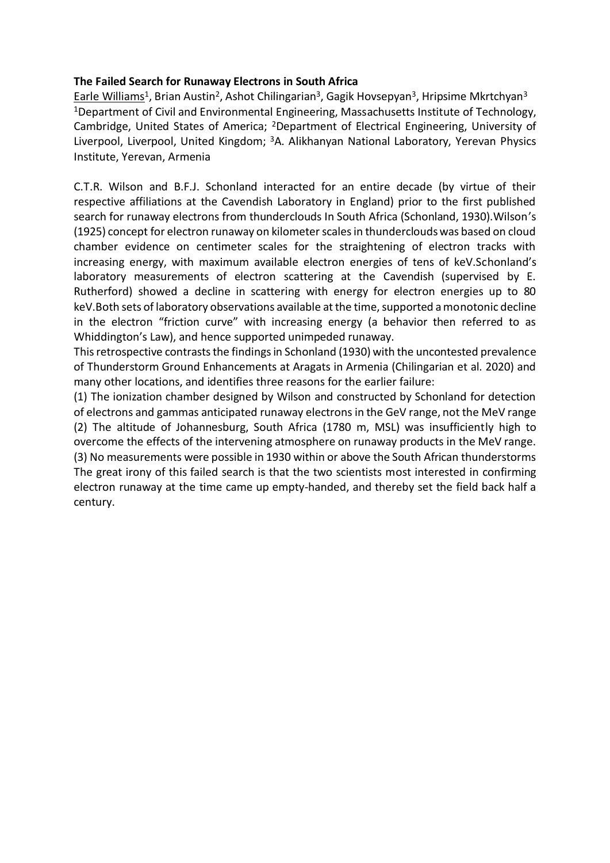#### **The Failed Search for Runaway Electrons in South Africa**

Earle Williams<sup>1</sup>, Brian Austin<sup>2</sup>, Ashot Chilingarian<sup>3</sup>, Gagik Hovsepyan<sup>3</sup>, Hripsime Mkrtchyan<sup>3</sup> <sup>1</sup>Department of Civil and Environmental Engineering, Massachusetts Institute of Technology, Cambridge, United States of America; <sup>2</sup>Department of Electrical Engineering, University of Liverpool, Liverpool, United Kingdom; <sup>3</sup>A. Alikhanyan National Laboratory, Yerevan Physics Institute, Yerevan, Armenia

C.T.R. Wilson and B.F.J. Schonland interacted for an entire decade (by virtue of their respective affiliations at the Cavendish Laboratory in England) prior to the first published search for runaway electrons from thunderclouds In South Africa (Schonland, 1930).Wilson's (1925) concept for electron runaway on kilometer scales in thunderclouds was based on cloud chamber evidence on centimeter scales for the straightening of electron tracks with increasing energy, with maximum available electron energies of tens of keV.Schonland's laboratory measurements of electron scattering at the Cavendish (supervised by E. Rutherford) showed a decline in scattering with energy for electron energies up to 80 keV.Both sets of laboratory observations available at the time, supported a monotonic decline in the electron "friction curve" with increasing energy (a behavior then referred to as Whiddington's Law), and hence supported unimpeded runaway.

This retrospective contrasts the findings in Schonland (1930) with the uncontested prevalence of Thunderstorm Ground Enhancements at Aragats in Armenia (Chilingarian et al. 2020) and many other locations, and identifies three reasons for the earlier failure:

(1) The ionization chamber designed by Wilson and constructed by Schonland for detection of electrons and gammas anticipated runaway electrons in the GeV range, not the MeV range (2) The altitude of Johannesburg, South Africa (1780 m, MSL) was insufficiently high to overcome the effects of the intervening atmosphere on runaway products in the MeV range. (3) No measurements were possible in 1930 within or above the South African thunderstorms The great irony of this failed search is that the two scientists most interested in confirming electron runaway at the time came up empty-handed, and thereby set the field back half a century.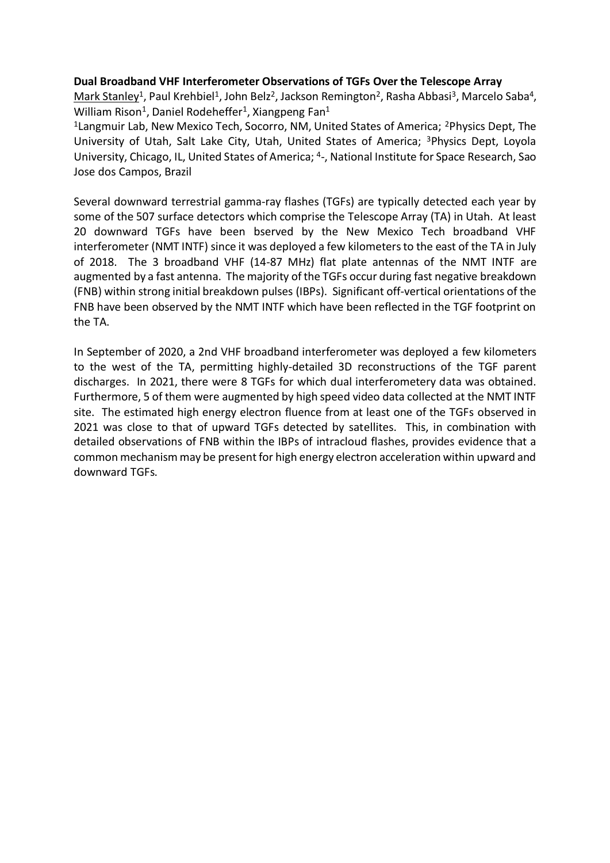#### **Dual Broadband VHF Interferometer Observations of TGFs Over the Telescope Array**

<u>Mark Stanley<sup>1</sup>, Paul Krehbiel<sup>1</sup>, John Belz<sup>2</sup>, Jackson Remington<sup>2</sup>, Rasha Abbasi<sup>3</sup>, Marcelo Saba<sup>4</sup>,</u> William Rison<sup>1</sup>, Daniel Rodeheffer<sup>1</sup>, Xiangpeng Fan<sup>1</sup>

<sup>1</sup> Langmuir Lab, New Mexico Tech, Socorro, NM, United States of America; <sup>2</sup>Physics Dept, The University of Utah, Salt Lake City, Utah, United States of America; <sup>3</sup>Physics Dept, Loyola University, Chicago, IL, United States of America; <sup>4</sup> -, National Institute for Space Research, Sao Jose dos Campos, Brazil

Several downward terrestrial gamma-ray flashes (TGFs) are typically detected each year by some of the 507 surface detectors which comprise the Telescope Array (TA) in Utah. At least 20 downward TGFs have been bserved by the New Mexico Tech broadband VHF interferometer (NMT INTF) since it was deployed a few kilometers to the east of the TA in July of 2018. The 3 broadband VHF (14-87 MHz) flat plate antennas of the NMT INTF are augmented by a fast antenna. The majority of the TGFs occur during fast negative breakdown (FNB) within strong initial breakdown pulses (IBPs). Significant off-vertical orientations of the FNB have been observed by the NMT INTF which have been reflected in the TGF footprint on the TA.

In September of 2020, a 2nd VHF broadband interferometer was deployed a few kilometers to the west of the TA, permitting highly-detailed 3D reconstructions of the TGF parent discharges. In 2021, there were 8 TGFs for which dual interferometery data was obtained. Furthermore, 5 of them were augmented by high speed video data collected at the NMT INTF site. The estimated high energy electron fluence from at least one of the TGFs observed in 2021 was close to that of upward TGFs detected by satellites. This, in combination with detailed observations of FNB within the IBPs of intracloud flashes, provides evidence that a common mechanism may be present for high energy electron acceleration within upward and downward TGFs.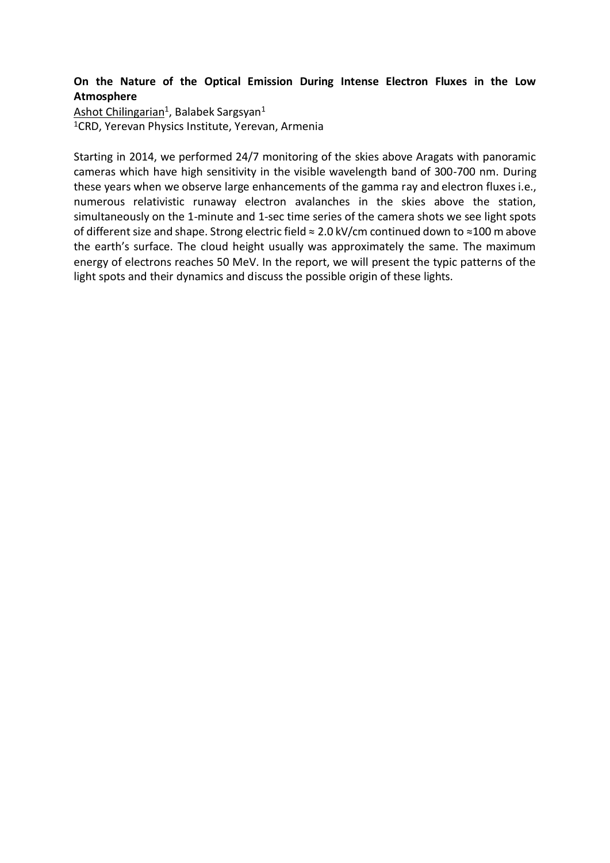# **On the Nature of the Optical Emission During Intense Electron Fluxes in the Low Atmosphere**

Ashot Chilingarian<sup>1</sup>, Balabek Sargsyan<sup>1</sup> <sup>1</sup>CRD, Yerevan Physics Institute, Yerevan, Armenia

Starting in 2014, we performed 24/7 monitoring of the skies above Aragats with panoramic cameras which have high sensitivity in the visible wavelength band of 300-700 nm. During these years when we observe large enhancements of the gamma ray and electron fluxes i.e., numerous relativistic runaway electron avalanches in the skies above the station, simultaneously on the 1-minute and 1-sec time series of the camera shots we see light spots of different size and shape. Strong electric field ≈ 2.0 kV/cm continued down to ≈100 m above the earth's surface. The cloud height usually was approximately the same. The maximum energy of electrons reaches 50 MeV. In the report, we will present the typic patterns of the light spots and their dynamics and discuss the possible origin of these lights.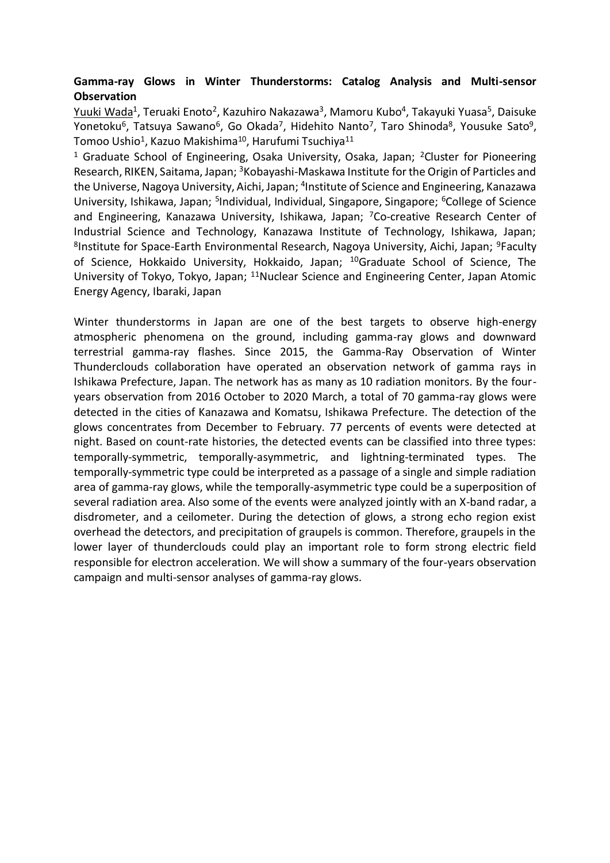### **Gamma-ray Glows in Winter Thunderstorms: Catalog Analysis and Multi-sensor Observation**

<u>Yuuki Wada</u><sup>1</sup>, Teruaki Enoto<sup>2</sup>, Kazuhiro Nakazawa<sup>3</sup>, Mamoru Kubo<sup>4</sup>, Takayuki Yuasa<sup>5</sup>, Daisuke Yonetoku<sup>6</sup>, Tatsuya Sawano<sup>6</sup>, Go Okada<sup>7</sup>, Hidehito Nanto<sup>7</sup>, Taro Shinoda<sup>8</sup>, Yousuke Sato<sup>9</sup>, Tomoo Ushio $^1$ , Kazuo Makishima $^{10}$ , Harufumi Tsuchiya $^{11}$ 

<sup>1</sup> Graduate School of Engineering, Osaka University, Osaka, Japan; <sup>2</sup>Cluster for Pioneering Research, RIKEN, Saitama, Japan; <sup>3</sup>Kobayashi-Maskawa Institute for the Origin of Particles and the Universe, Nagoya University, Aichi, Japan; <sup>4</sup>Institute of Science and Engineering, Kanazawa University, Ishikawa, Japan; <sup>5</sup>Individual, Individual, Singapore, Singapore; <sup>6</sup>College of Science and Engineering, Kanazawa University, Ishikawa, Japan; <sup>7</sup>Co-creative Research Center of Industrial Science and Technology, Kanazawa Institute of Technology, Ishikawa, Japan; <sup>8</sup>Institute for Space-Earth Environmental Research, Nagoya University, Aichi, Japan; <sup>9</sup>Faculty of Science, Hokkaido University, Hokkaido, Japan; <sup>10</sup>Graduate School of Science, The University of Tokyo, Tokyo, Japan; <sup>11</sup>Nuclear Science and Engineering Center, Japan Atomic Energy Agency, Ibaraki, Japan

Winter thunderstorms in Japan are one of the best targets to observe high-energy atmospheric phenomena on the ground, including gamma-ray glows and downward terrestrial gamma-ray flashes. Since 2015, the Gamma-Ray Observation of Winter Thunderclouds collaboration have operated an observation network of gamma rays in Ishikawa Prefecture, Japan. The network has as many as 10 radiation monitors. By the fouryears observation from 2016 October to 2020 March, a total of 70 gamma-ray glows were detected in the cities of Kanazawa and Komatsu, Ishikawa Prefecture. The detection of the glows concentrates from December to February. 77 percents of events were detected at night. Based on count-rate histories, the detected events can be classified into three types: temporally-symmetric, temporally-asymmetric, and lightning-terminated types. The temporally-symmetric type could be interpreted as a passage of a single and simple radiation area of gamma-ray glows, while the temporally-asymmetric type could be a superposition of several radiation area. Also some of the events were analyzed jointly with an X-band radar, a disdrometer, and a ceilometer. During the detection of glows, a strong echo region exist overhead the detectors, and precipitation of graupels is common. Therefore, graupels in the lower layer of thunderclouds could play an important role to form strong electric field responsible for electron acceleration. We will show a summary of the four-years observation campaign and multi-sensor analyses of gamma-ray glows.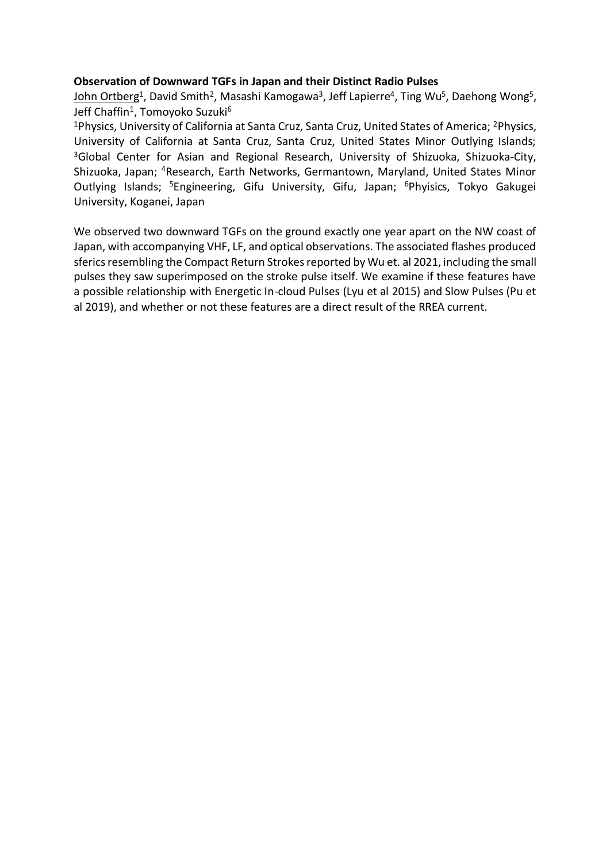#### **Observation of Downward TGFs in Japan and their Distinct Radio Pulses**

<u>John Ortberg<sup>1</sup>,</u> David Smith<sup>2</sup>, Masashi Kamogawa<sup>3</sup>, Jeff Lapierre<sup>4</sup>, Ting Wu<sup>5</sup>, Daehong Wong<sup>5</sup>, Jeff Chaffin<sup>1</sup>, Tomoyoko Suzuki<sup>6</sup>

<sup>1</sup>Physics, University of California at Santa Cruz, Santa Cruz, United States of America; <sup>2</sup>Physics, University of California at Santa Cruz, Santa Cruz, United States Minor Outlying Islands; <sup>3</sup>Global Center for Asian and Regional Research, University of Shizuoka, Shizuoka-City, Shizuoka, Japan; <sup>4</sup>Research, Earth Networks, Germantown, Maryland, United States Minor Outlying Islands; <sup>5</sup>Engineering, Gifu University, Gifu, Japan; <sup>6</sup>Phyisics, Tokyo Gakugei University, Koganei, Japan

We observed two downward TGFs on the ground exactly one year apart on the NW coast of Japan, with accompanying VHF, LF, and optical observations. The associated flashes produced sferics resembling the Compact Return Strokes reported by Wu et. al 2021, including the small pulses they saw superimposed on the stroke pulse itself. We examine if these features have a possible relationship with Energetic In-cloud Pulses (Lyu et al 2015) and Slow Pulses (Pu et al 2019), and whether or not these features are a direct result of the RREA current.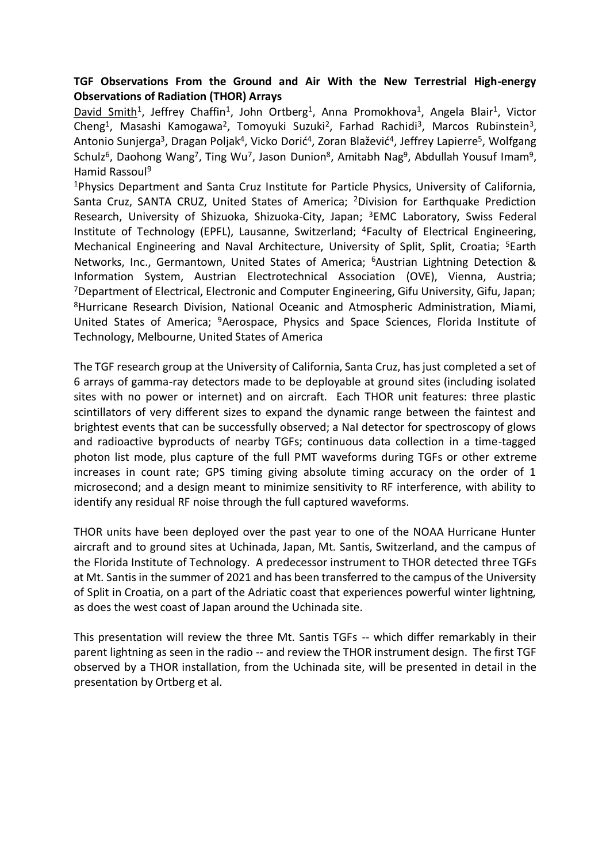# **TGF Observations From the Ground and Air With the New Terrestrial High-energy Observations of Radiation (THOR) Arrays**

David Smith<sup>1</sup>, Jeffrey Chaffin<sup>1</sup>, John Ortberg<sup>1</sup>, Anna Promokhova<sup>1</sup>, Angela Blair<sup>1</sup>, Victor Cheng<sup>1</sup>, Masashi Kamogawa<sup>2</sup>, Tomoyuki Suzuki<sup>2</sup>, Farhad Rachidi<sup>3</sup>, Marcos Rubinstein<sup>3</sup>, Antonio Sunjerga<sup>3</sup>, Dragan Poljak<sup>4</sup>, Vicko Dorić<sup>4</sup>, Zoran Blažević<sup>4</sup>, Jeffrey Lapierre<sup>5</sup>, Wolfgang Schulz<sup>6</sup>, Daohong Wang<sup>7</sup>, Ting Wu<sup>7</sup>, Jason Dunion<sup>8</sup>, Amitabh Nag<sup>9</sup>, Abdullah Yousuf Imam<sup>9</sup>, Hamid Rassoul<sup>9</sup>

<sup>1</sup>Physics Department and Santa Cruz Institute for Particle Physics, University of California, Santa Cruz, SANTA CRUZ, United States of America; <sup>2</sup>Division for Earthquake Prediction Research, University of Shizuoka, Shizuoka-City, Japan; <sup>3</sup>EMC Laboratory, Swiss Federal Institute of Technology (EPFL), Lausanne, Switzerland; <sup>4</sup>Faculty of Electrical Engineering, Mechanical Engineering and Naval Architecture, University of Split, Split, Croatia; <sup>5</sup>Earth Networks, Inc., Germantown, United States of America; <sup>6</sup>Austrian Lightning Detection & Information System, Austrian Electrotechnical Association (OVE), Vienna, Austria; <sup>7</sup>Department of Electrical, Electronic and Computer Engineering, Gifu University, Gifu, Japan; <sup>8</sup>Hurricane Research Division, National Oceanic and Atmospheric Administration, Miami, United States of America; <sup>9</sup>Aerospace, Physics and Space Sciences, Florida Institute of Technology, Melbourne, United States of America

The TGF research group at the University of California, Santa Cruz, has just completed a set of 6 arrays of gamma-ray detectors made to be deployable at ground sites (including isolated sites with no power or internet) and on aircraft. Each THOR unit features: three plastic scintillators of very different sizes to expand the dynamic range between the faintest and brightest events that can be successfully observed; a NaI detector for spectroscopy of glows and radioactive byproducts of nearby TGFs; continuous data collection in a time-tagged photon list mode, plus capture of the full PMT waveforms during TGFs or other extreme increases in count rate; GPS timing giving absolute timing accuracy on the order of 1 microsecond; and a design meant to minimize sensitivity to RF interference, with ability to identify any residual RF noise through the full captured waveforms.

THOR units have been deployed over the past year to one of the NOAA Hurricane Hunter aircraft and to ground sites at Uchinada, Japan, Mt. Santis, Switzerland, and the campus of the Florida Institute of Technology. A predecessor instrument to THOR detected three TGFs at Mt. Santis in the summer of 2021 and has been transferred to the campus of the University of Split in Croatia, on a part of the Adriatic coast that experiences powerful winter lightning, as does the west coast of Japan around the Uchinada site.

This presentation will review the three Mt. Santis TGFs -- which differ remarkably in their parent lightning as seen in the radio -- and review the THOR instrument design. The first TGF observed by a THOR installation, from the Uchinada site, will be presented in detail in the presentation by Ortberg et al.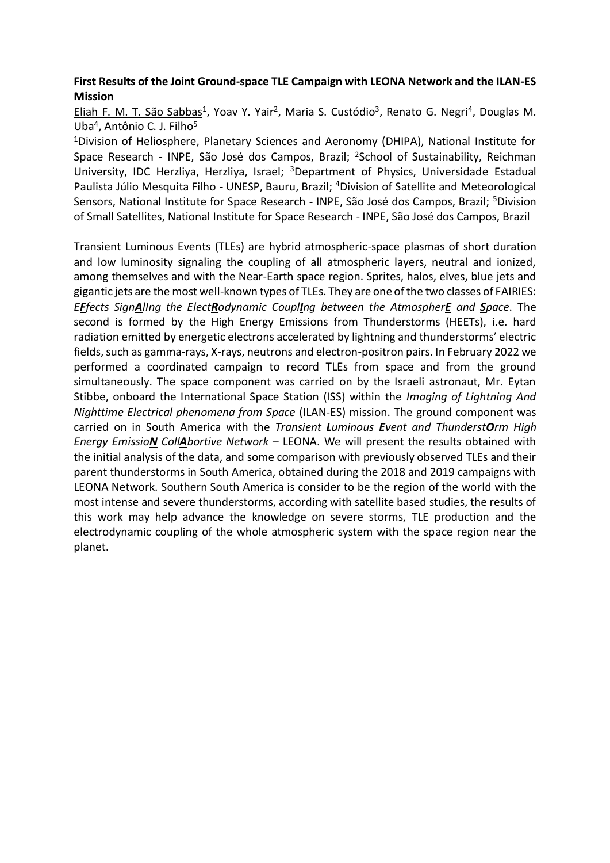### **First Results of the Joint Ground-space TLE Campaign with LEONA Network and the ILAN-ES Mission**

Eliah F. M. T. São Sabbas<sup>1</sup>, Yoav Y. Yair<sup>2</sup>, Maria S. Custódio<sup>3</sup>, Renato G. Negri<sup>4</sup>, Douglas M. Uba<sup>4</sup>, Antônio C. J. Filho<sup>5</sup>

<sup>1</sup>Division of Heliosphere, Planetary Sciences and Aeronomy (DHIPA), National Institute for Space Research - INPE, São José dos Campos, Brazil; <sup>2</sup>School of Sustainability, Reichman University, IDC Herzliya, Herzliya, Israel; <sup>3</sup>Department of Physics, Universidade Estadual Paulista Júlio Mesquita Filho - UNESP, Bauru, Brazil; <sup>4</sup>Division of Satellite and Meteorological Sensors, National Institute for Space Research - INPE, São José dos Campos, Brazil; <sup>5</sup>Division of Small Satellites, National Institute for Space Research - INPE, São José dos Campos, Brazil

Transient Luminous Events (TLEs) are hybrid atmospheric-space plasmas of short duration and low luminosity signaling the coupling of all atmospheric layers, neutral and ionized, among themselves and with the Near-Earth space region. Sprites, halos, elves, blue jets and gigantic jets are the most well-known types of TLEs. They are one of the two classes of FAIRIES: *EFfects SignAlIng the ElectRodynamic CouplIng between the AtmospherE and Space*. The second is formed by the High Energy Emissions from Thunderstorms (HEETs), i.e. hard radiation emitted by energetic electrons accelerated by lightning and thunderstorms' electric fields, such as gamma-rays, X-rays, neutrons and electron-positron pairs. In February 2022 we performed a coordinated campaign to record TLEs from space and from the ground simultaneously. The space component was carried on by the Israeli astronaut, Mr. Eytan Stibbe, onboard the International Space Station (ISS) within the *Imaging of Lightning And Nighttime Electrical phenomena from Space* (ILAN-ES) mission. The ground component was carried on in South America with the *Transient Luminous Event and ThunderstOrm High Energy EmissioN CollAbortive Network* – LEONA. We will present the results obtained with the initial analysis of the data, and some comparison with previously observed TLEs and their parent thunderstorms in South America, obtained during the 2018 and 2019 campaigns with LEONA Network. Southern South America is consider to be the region of the world with the most intense and severe thunderstorms, according with satellite based studies, the results of this work may help advance the knowledge on severe storms, TLE production and the electrodynamic coupling of the whole atmospheric system with the space region near the planet.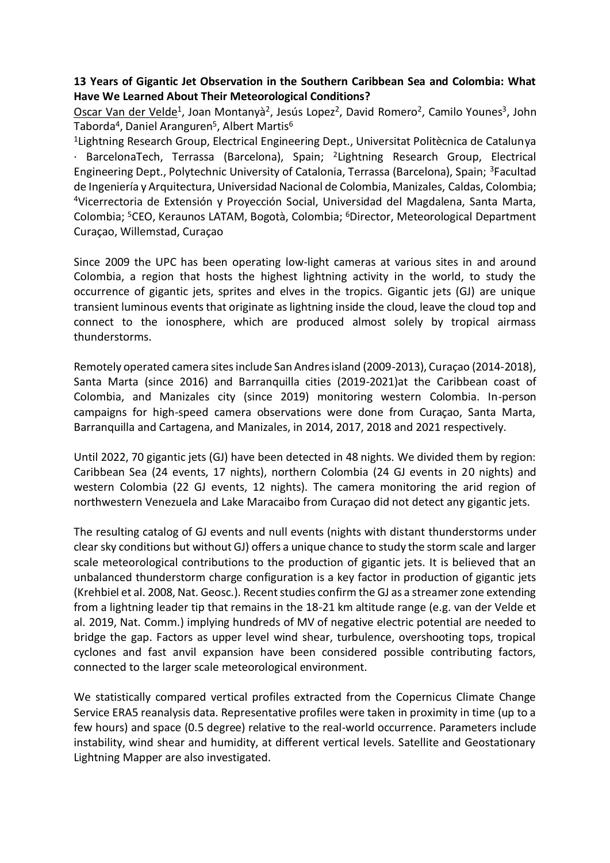### **13 Years of Gigantic Jet Observation in the Southern Caribbean Sea and Colombia: What Have We Learned About Their Meteorological Conditions?**

Oscar Van der Velde<sup>1</sup>, Joan Montanyà<sup>2</sup>, Jesús Lopez<sup>2</sup>, David Romero<sup>2</sup>, Camilo Younes<sup>3</sup>, John Taborda<sup>4</sup>, Daniel Aranguren<sup>5</sup>, Albert Martis<sup>6</sup>

<sup>1</sup> Lightning Research Group, Electrical Engineering Dept., Universitat Politècnica de Catalunya · BarcelonaTech, Terrassa (Barcelona), Spain; <sup>2</sup>Lightning Research Group, Electrical Engineering Dept., Polytechnic University of Catalonia, Terrassa (Barcelona), Spain; <sup>3</sup>Facultad de Ingeniería y Arquitectura, Universidad Nacional de Colombia, Manizales, Caldas, Colombia; <sup>4</sup>Vicerrectoria de Extensión y Proyección Social, Universidad del Magdalena, Santa Marta, Colombia; <sup>5</sup>CEO, Keraunos LATAM, Bogotà, Colombia; <sup>6</sup>Director, Meteorological Department Curaçao, Willemstad, Curaçao

Since 2009 the UPC has been operating low-light cameras at various sites in and around Colombia, a region that hosts the highest lightning activity in the world, to study the occurrence of gigantic jets, sprites and elves in the tropics. Gigantic jets (GJ) are unique transient luminous events that originate as lightning inside the cloud, leave the cloud top and connect to the ionosphere, which are produced almost solely by tropical airmass thunderstorms.

Remotely operated camera sites include San Andres island (2009-2013), Curaçao (2014-2018), Santa Marta (since 2016) and Barranquilla cities (2019-2021)at the Caribbean coast of Colombia, and Manizales city (since 2019) monitoring western Colombia. In-person campaigns for high-speed camera observations were done from Curaçao, Santa Marta, Barranquilla and Cartagena, and Manizales, in 2014, 2017, 2018 and 2021 respectively.

Until 2022, 70 gigantic jets (GJ) have been detected in 48 nights. We divided them by region: Caribbean Sea (24 events, 17 nights), northern Colombia (24 GJ events in 20 nights) and western Colombia (22 GJ events, 12 nights). The camera monitoring the arid region of northwestern Venezuela and Lake Maracaibo from Curaçao did not detect any gigantic jets.

The resulting catalog of GJ events and null events (nights with distant thunderstorms under clear sky conditions but without GJ) offers a unique chance to study the storm scale and larger scale meteorological contributions to the production of gigantic jets. It is believed that an unbalanced thunderstorm charge configuration is a key factor in production of gigantic jets (Krehbiel et al. 2008, Nat. Geosc.). Recent studies confirm the GJ as a streamer zone extending from a lightning leader tip that remains in the 18-21 km altitude range (e.g. van der Velde et al. 2019, Nat. Comm.) implying hundreds of MV of negative electric potential are needed to bridge the gap. Factors as upper level wind shear, turbulence, overshooting tops, tropical cyclones and fast anvil expansion have been considered possible contributing factors, connected to the larger scale meteorological environment.

We statistically compared vertical profiles extracted from the Copernicus Climate Change Service ERA5 reanalysis data. Representative profiles were taken in proximity in time (up to a few hours) and space (0.5 degree) relative to the real-world occurrence. Parameters include instability, wind shear and humidity, at different vertical levels. Satellite and Geostationary Lightning Mapper are also investigated.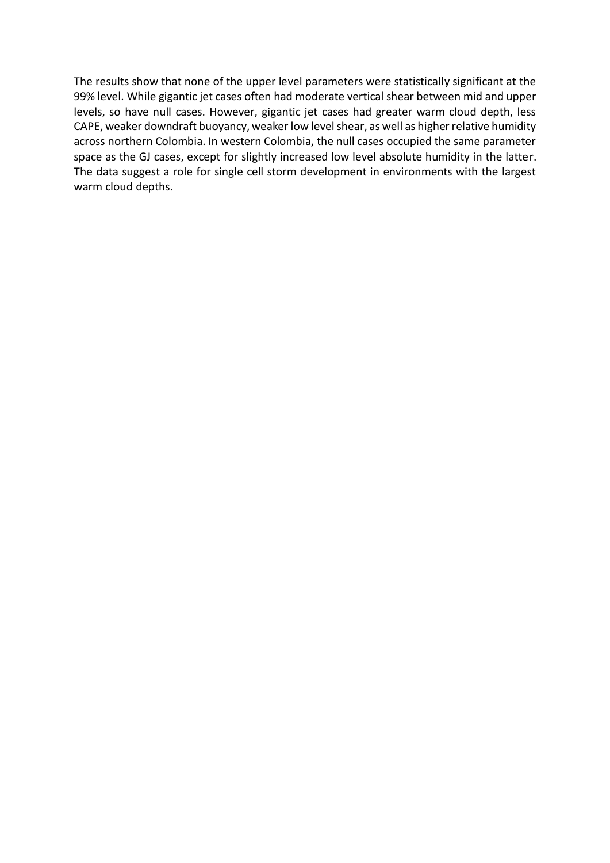The results show that none of the upper level parameters were statistically significant at the 99% level. While gigantic jet cases often had moderate vertical shear between mid and upper levels, so have null cases. However, gigantic jet cases had greater warm cloud depth, less CAPE, weaker downdraft buoyancy, weaker low level shear, as well as higher relative humidity across northern Colombia. In western Colombia, the null cases occupied the same parameter space as the GJ cases, except for slightly increased low level absolute humidity in the latter. The data suggest a role for single cell storm development in environments with the largest warm cloud depths.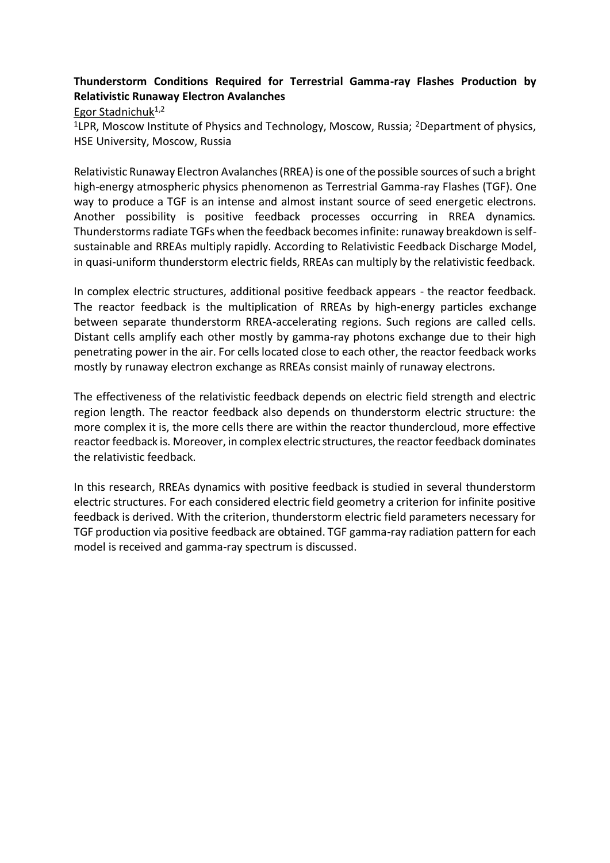# **Thunderstorm Conditions Required for Terrestrial Gamma-ray Flashes Production by Relativistic Runaway Electron Avalanches**

Egor Stadnichuk<sup>1,2</sup>

<sup>1</sup>LPR, Moscow Institute of Physics and Technology, Moscow, Russia; <sup>2</sup>Department of physics, HSE University, Moscow, Russia

Relativistic Runaway Electron Avalanches (RREA) is one of the possible sources of such a bright high-energy atmospheric physics phenomenon as Terrestrial Gamma-ray Flashes (TGF). One way to produce a TGF is an intense and almost instant source of seed energetic electrons. Another possibility is positive feedback processes occurring in RREA dynamics. Thunderstorms radiate TGFs when the feedback becomes infinite: runaway breakdown is selfsustainable and RREAs multiply rapidly. According to Relativistic Feedback Discharge Model, in quasi-uniform thunderstorm electric fields, RREAs can multiply by the relativistic feedback.

In complex electric structures, additional positive feedback appears - the reactor feedback. The reactor feedback is the multiplication of RREAs by high-energy particles exchange between separate thunderstorm RREA-accelerating regions. Such regions are called cells. Distant cells amplify each other mostly by gamma-ray photons exchange due to their high penetrating power in the air. For cellslocated close to each other, the reactor feedback works mostly by runaway electron exchange as RREAs consist mainly of runaway electrons.

The effectiveness of the relativistic feedback depends on electric field strength and electric region length. The reactor feedback also depends on thunderstorm electric structure: the more complex it is, the more cells there are within the reactor thundercloud, more effective reactor feedback is. Moreover, in complex electric structures, the reactor feedback dominates the relativistic feedback.

In this research, RREAs dynamics with positive feedback is studied in several thunderstorm electric structures. For each considered electric field geometry a criterion for infinite positive feedback is derived. With the criterion, thunderstorm electric field parameters necessary for TGF production via positive feedback are obtained. TGF gamma-ray radiation pattern for each model is received and gamma-ray spectrum is discussed.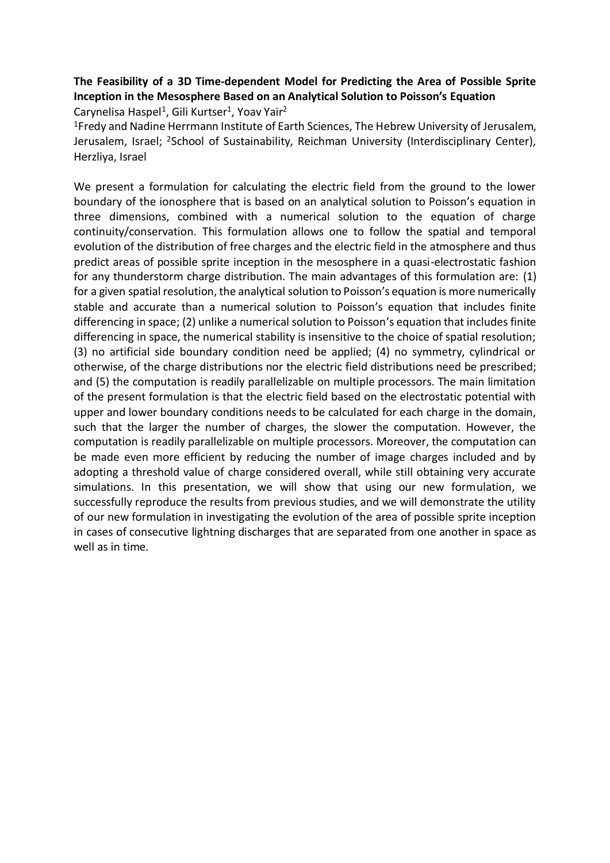# **The Feasibility of a 3D Time-dependent Model for Predicting the Area of Possible Sprite Inception in the Mesosphere Based on an Analytical Solution to Poisson's Equation**

Carynelisa Haspel<sup>1</sup>, Gili Kurtser<sup>1</sup>, Yoav Yair<sup>2</sup>

<sup>1</sup>Fredy and Nadine Herrmann Institute of Earth Sciences, The Hebrew University of Jerusalem, Jerusalem, Israel; <sup>2</sup>School of Sustainability, Reichman University (Interdisciplinary Center), Herzliya, Israel

We present a formulation for calculating the electric field from the ground to the lower boundary of the ionosphere that is based on an analytical solution to Poisson's equation in three dimensions, combined with a numerical solution to the equation of charge continuity/conservation. This formulation allows one to follow the spatial and temporal evolution of the distribution of free charges and the electric field in the atmosphere and thus predict areas of possible sprite inception in the mesosphere in a quasi-electrostatic fashion for any thunderstorm charge distribution. The main advantages of this formulation are: (1) for a given spatial resolution, the analytical solution to Poisson's equation is more numerically stable and accurate than a numerical solution to Poisson's equation that includes finite differencing in space; (2) unlike a numerical solution to Poisson's equation that includes finite differencing in space, the numerical stability is insensitive to the choice of spatial resolution; (3) no artificial side boundary condition need be applied; (4) no symmetry, cylindrical or otherwise, of the charge distributions nor the electric field distributions need be prescribed; and (5) the computation is readily parallelizable on multiple processors. The main limitation of the present formulation is that the electric field based on the electrostatic potential with upper and lower boundary conditions needs to be calculated for each charge in the domain, such that the larger the number of charges, the slower the computation. However, the computation is readily parallelizable on multiple processors. Moreover, the computation can be made even more efficient by reducing the number of image charges included and by adopting a threshold value of charge considered overall, while still obtaining very accurate simulations. In this presentation, we will show that using our new formulation, we successfully reproduce the results from previous studies, and we will demonstrate the utility of our new formulation in investigating the evolution of the area of possible sprite inception in cases of consecutive lightning discharges that are separated from one another in space as well as in time.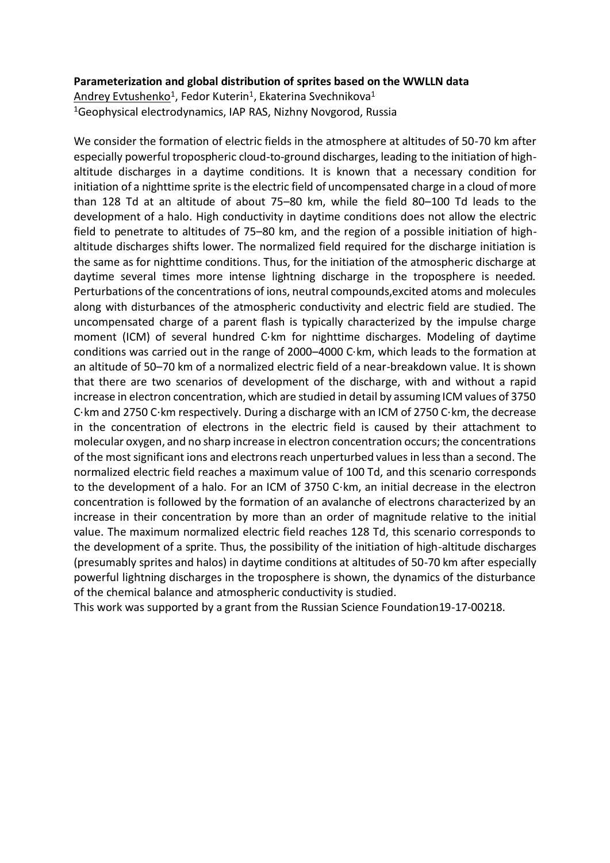#### **Parameterization and global distribution of sprites based on the WWLLN data**

<u>Andrey Evtushenko</u><sup>1</sup>, Fedor Kuterin<sup>1</sup>, Ekaterina Svechnikova<sup>1</sup> <sup>1</sup>Geophysical electrodynamics, IAP RAS, Nizhny Novgorod, Russia

We consider the formation of electric fields in the atmosphere at altitudes of 50-70 km after especially powerful tropospheric cloud-to-ground discharges, leading to the initiation of highaltitude discharges in a daytime conditions. It is known that a necessary condition for initiation of a nighttime sprite is the electric field of uncompensated charge in a cloud of more than 128 Td at an altitude of about 75–80 km, while the field 80–100 Td leads to the development of a halo. High conductivity in daytime conditions does not allow the electric field to penetrate to altitudes of 75–80 km, and the region of a possible initiation of highaltitude discharges shifts lower. The normalized field required for the discharge initiation is the same as for nighttime conditions. Thus, for the initiation of the atmospheric discharge at daytime several times more intense lightning discharge in the troposphere is needed. Perturbations of the concentrations of ions, neutral compounds,excited atoms and molecules along with disturbances of the atmospheric conductivity and electric field are studied. The uncompensated charge of a parent flash is typically characterized by the impulse charge moment (ICM) of several hundred C⋅km for nighttime discharges. Modeling of daytime conditions was carried out in the range of 2000–4000 C⋅km, which leads to the formation at an altitude of 50–70 km of a normalized electric field of a near-breakdown value. It is shown that there are two scenarios of development of the discharge, with and without a rapid increase in electron concentration, which are studied in detail by assuming ICM values of 3750 C⋅km and 2750 C⋅km respectively. During a discharge with an ICM of 2750 C⋅km, the decrease in the concentration of electrons in the electric field is caused by their attachment to molecular oxygen, and no sharp increase in electron concentration occurs; the concentrations of the most significant ions and electrons reach unperturbed values in less than a second. The normalized electric field reaches a maximum value of 100 Td, and this scenario corresponds to the development of a halo. For an ICM of 3750 C⋅km, an initial decrease in the electron concentration is followed by the formation of an avalanche of electrons characterized by an increase in their concentration by more than an order of magnitude relative to the initial value. The maximum normalized electric field reaches 128 Td, this scenario corresponds to the development of a sprite. Thus, the possibility of the initiation of high-altitude discharges (presumably sprites and halos) in daytime conditions at altitudes of 50-70 km after especially powerful lightning discharges in the troposphere is shown, the dynamics of the disturbance of the chemical balance and atmospheric conductivity is studied.

This work was supported by a grant from the Russian Science Foundation19-17-00218.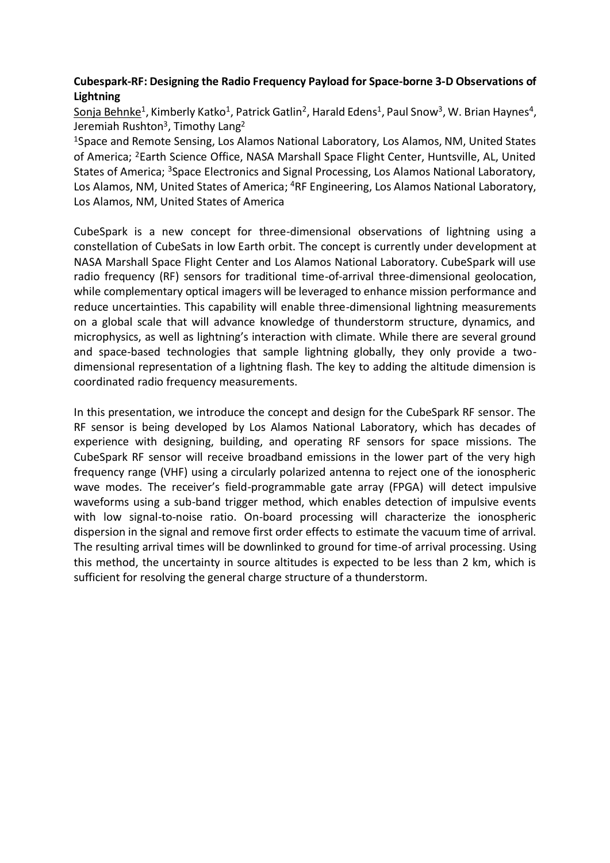# **Cubespark-RF: Designing the Radio Frequency Payload for Space-borne 3-D Observations of Lightning**

<u>Sonja Behnke</u><sup>1</sup>, Kimberly Katko<sup>1</sup>, Patrick Gatlin<sup>2</sup>, Harald Edens<sup>1</sup>, Paul Snow<sup>3</sup>, W. Brian Haynes<sup>4</sup>, Jeremiah Rushton<sup>3</sup>, Timothy Lang<sup>2</sup>

<sup>1</sup>Space and Remote Sensing, Los Alamos National Laboratory, Los Alamos, NM, United States of America; <sup>2</sup>Earth Science Office, NASA Marshall Space Flight Center, Huntsville, AL, United States of America; <sup>3</sup>Space Electronics and Signal Processing, Los Alamos National Laboratory, Los Alamos, NM, United States of America; <sup>4</sup>RF Engineering, Los Alamos National Laboratory, Los Alamos, NM, United States of America

CubeSpark is a new concept for three-dimensional observations of lightning using a constellation of CubeSats in low Earth orbit. The concept is currently under development at NASA Marshall Space Flight Center and Los Alamos National Laboratory. CubeSpark will use radio frequency (RF) sensors for traditional time-of-arrival three-dimensional geolocation, while complementary optical imagers will be leveraged to enhance mission performance and reduce uncertainties. This capability will enable three-dimensional lightning measurements on a global scale that will advance knowledge of thunderstorm structure, dynamics, and microphysics, as well as lightning's interaction with climate. While there are several ground and space-based technologies that sample lightning globally, they only provide a twodimensional representation of a lightning flash. The key to adding the altitude dimension is coordinated radio frequency measurements.

In this presentation, we introduce the concept and design for the CubeSpark RF sensor. The RF sensor is being developed by Los Alamos National Laboratory, which has decades of experience with designing, building, and operating RF sensors for space missions. The CubeSpark RF sensor will receive broadband emissions in the lower part of the very high frequency range (VHF) using a circularly polarized antenna to reject one of the ionospheric wave modes. The receiver's field-programmable gate array (FPGA) will detect impulsive waveforms using a sub-band trigger method, which enables detection of impulsive events with low signal-to-noise ratio. On-board processing will characterize the ionospheric dispersion in the signal and remove first order effects to estimate the vacuum time of arrival. The resulting arrival times will be downlinked to ground for time-of arrival processing. Using this method, the uncertainty in source altitudes is expected to be less than 2 km, which is sufficient for resolving the general charge structure of a thunderstorm.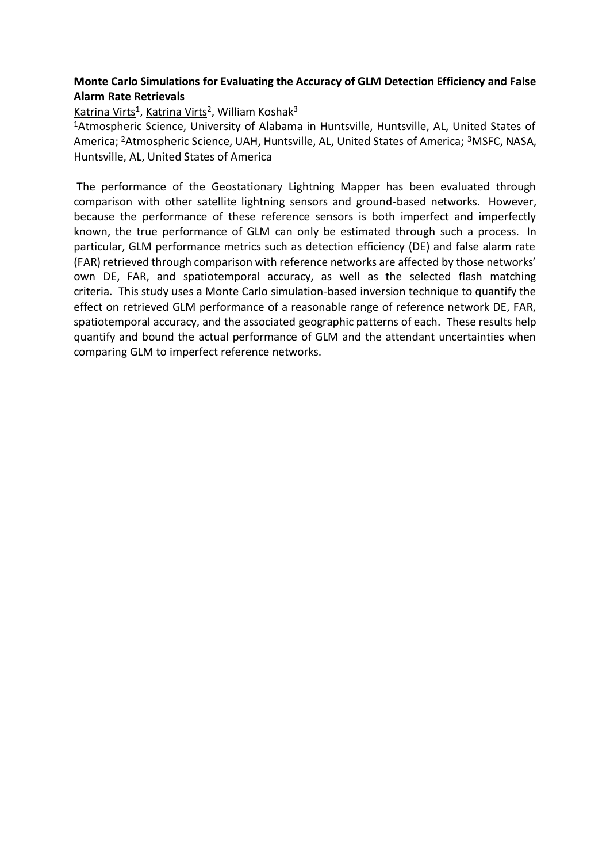### **Monte Carlo Simulations for Evaluating the Accuracy of GLM Detection Efficiency and False Alarm Rate Retrievals**

<u>Katrina Virts</u><sup>1</sup>, <u>Katrina Virts</u><sup>2</sup>, William Koshak<sup>3</sup>

<sup>1</sup>Atmospheric Science, University of Alabama in Huntsville, Huntsville, AL, United States of America; <sup>2</sup>Atmospheric Science, UAH, Huntsville, AL, United States of America; <sup>3</sup>MSFC, NASA, Huntsville, AL, United States of America

The performance of the Geostationary Lightning Mapper has been evaluated through comparison with other satellite lightning sensors and ground-based networks. However, because the performance of these reference sensors is both imperfect and imperfectly known, the true performance of GLM can only be estimated through such a process. In particular, GLM performance metrics such as detection efficiency (DE) and false alarm rate (FAR) retrieved through comparison with reference networks are affected by those networks' own DE, FAR, and spatiotemporal accuracy, as well as the selected flash matching criteria. This study uses a Monte Carlo simulation-based inversion technique to quantify the effect on retrieved GLM performance of a reasonable range of reference network DE, FAR, spatiotemporal accuracy, and the associated geographic patterns of each. These results help quantify and bound the actual performance of GLM and the attendant uncertainties when comparing GLM to imperfect reference networks.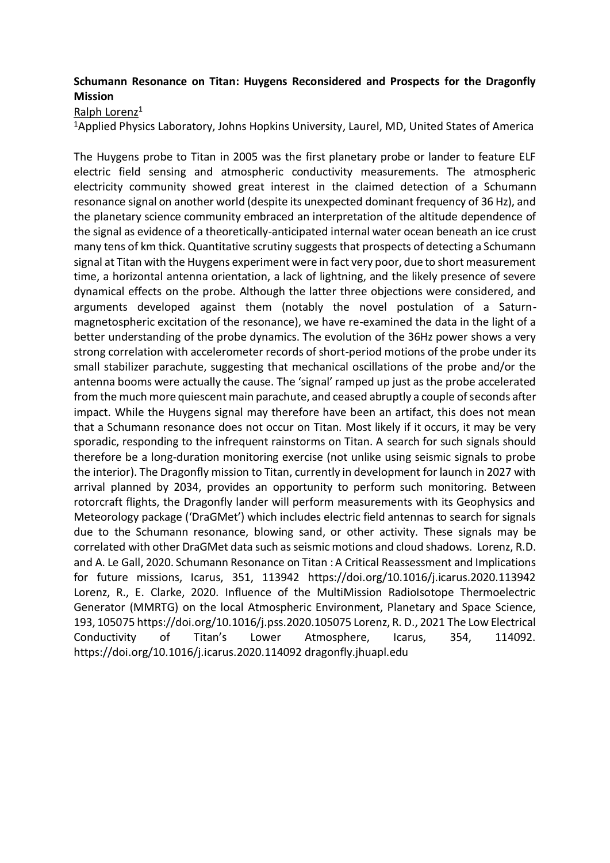# **Schumann Resonance on Titan: Huygens Reconsidered and Prospects for the Dragonfly Mission**

Ralph Lorenz<sup>1</sup>

<sup>1</sup>Applied Physics Laboratory, Johns Hopkins University, Laurel, MD, United States of America

The Huygens probe to Titan in 2005 was the first planetary probe or lander to feature ELF electric field sensing and atmospheric conductivity measurements. The atmospheric electricity community showed great interest in the claimed detection of a Schumann resonance signal on another world (despite its unexpected dominant frequency of 36 Hz), and the planetary science community embraced an interpretation of the altitude dependence of the signal as evidence of a theoretically-anticipated internal water ocean beneath an ice crust many tens of km thick. Quantitative scrutiny suggests that prospects of detecting a Schumann signal at Titan with the Huygens experiment were in fact very poor, due to short measurement time, a horizontal antenna orientation, a lack of lightning, and the likely presence of severe dynamical effects on the probe. Although the latter three objections were considered, and arguments developed against them (notably the novel postulation of a Saturnmagnetospheric excitation of the resonance), we have re-examined the data in the light of a better understanding of the probe dynamics. The evolution of the 36Hz power shows a very strong correlation with accelerometer records of short-period motions of the probe under its small stabilizer parachute, suggesting that mechanical oscillations of the probe and/or the antenna booms were actually the cause. The 'signal' ramped up just as the probe accelerated from the much more quiescent main parachute, and ceased abruptly a couple of seconds after impact. While the Huygens signal may therefore have been an artifact, this does not mean that a Schumann resonance does not occur on Titan. Most likely if it occurs, it may be very sporadic, responding to the infrequent rainstorms on Titan. A search for such signals should therefore be a long-duration monitoring exercise (not unlike using seismic signals to probe the interior). The Dragonfly mission to Titan, currently in development for launch in 2027 with arrival planned by 2034, provides an opportunity to perform such monitoring. Between rotorcraft flights, the Dragonfly lander will perform measurements with its Geophysics and Meteorology package ('DraGMet') which includes electric field antennas to search for signals due to the Schumann resonance, blowing sand, or other activity. These signals may be correlated with other DraGMet data such as seismic motions and cloud shadows. Lorenz, R.D. and A. Le Gall, 2020. Schumann Resonance on Titan : A Critical Reassessment and Implications for future missions, Icarus, 351, 113942 https://doi.org/10.1016/j.icarus.2020.113942 Lorenz, R., E. Clarke, 2020. Influence of the MultiMission RadioIsotope Thermoelectric Generator (MMRTG) on the local Atmospheric Environment, Planetary and Space Science, 193, 105075 https://doi.org/10.1016/j.pss.2020.105075 Lorenz, R. D., 2021 The Low Electrical Conductivity of Titan's Lower Atmosphere, Icarus, 354, 114092. https://doi.org/10.1016/j.icarus.2020.114092 dragonfly.jhuapl.edu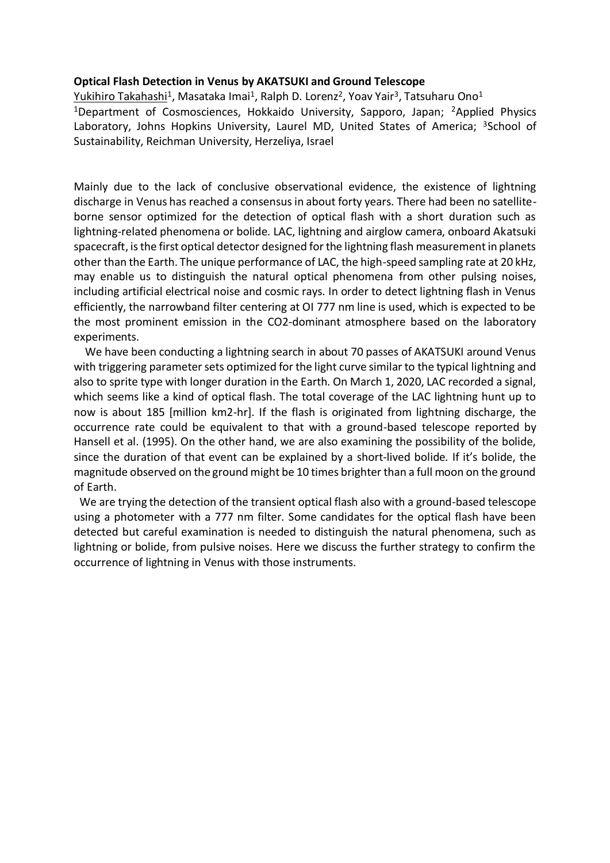#### **Optical Flash Detection in Venus by AKATSUKI and Ground Telescope**

<u>Yukihiro Takahashi</u><sup>1</sup>, Masataka Imai<sup>1</sup>, Ralph D. Lorenz<sup>2</sup>, Yoav Yair<sup>3</sup>, Tatsuharu Ono<sup>1</sup> <sup>1</sup>Department of Cosmosciences, Hokkaido University, Sapporo, Japan; <sup>2</sup>Applied Physics Laboratory, Johns Hopkins University, Laurel MD, United States of America; <sup>3</sup>School of Sustainability, Reichman University, Herzeliya, Israel

Mainly due to the lack of conclusive observational evidence, the existence of lightning discharge in Venus has reached a consensus in about forty years. There had been no satelliteborne sensor optimized for the detection of optical flash with a short duration such as lightning-related phenomena or bolide. LAC, lightning and airglow camera, onboard Akatsuki spacecraft, is the first optical detector designed for the lightning flash measurement in planets other than the Earth. The unique performance of LAC, the high-speed sampling rate at 20 kHz, may enable us to distinguish the natural optical phenomena from other pulsing noises, including artificial electrical noise and cosmic rays. In order to detect lightning flash in Venus efficiently, the narrowband filter centering at OI 777 nm line is used, which is expected to be the most prominent emission in the CO2-dominant atmosphere based on the laboratory experiments.

We have been conducting a lightning search in about 70 passes of AKATSUKI around Venus with triggering parameter sets optimized for the light curve similar to the typical lightning and also to sprite type with longer duration in the Earth. On March 1, 2020, LAC recorded a signal, which seems like a kind of optical flash. The total coverage of the LAC lightning hunt up to now is about 185 [million km2-hr]. If the flash is originated from lightning discharge, the occurrence rate could be equivalent to that with a ground-based telescope reported by Hansell et al. (1995). On the other hand, we are also examining the possibility of the bolide, since the duration of that event can be explained by a short-lived bolide. If it's bolide, the magnitude observed on the ground might be 10 times brighter than a full moon on the ground of Earth.

 We are trying the detection of the transient optical flash also with a ground-based telescope using a photometer with a 777 nm filter. Some candidates for the optical flash have been detected but careful examination is needed to distinguish the natural phenomena, such as lightning or bolide, from pulsive noises. Here we discuss the further strategy to confirm the occurrence of lightning in Venus with those instruments.